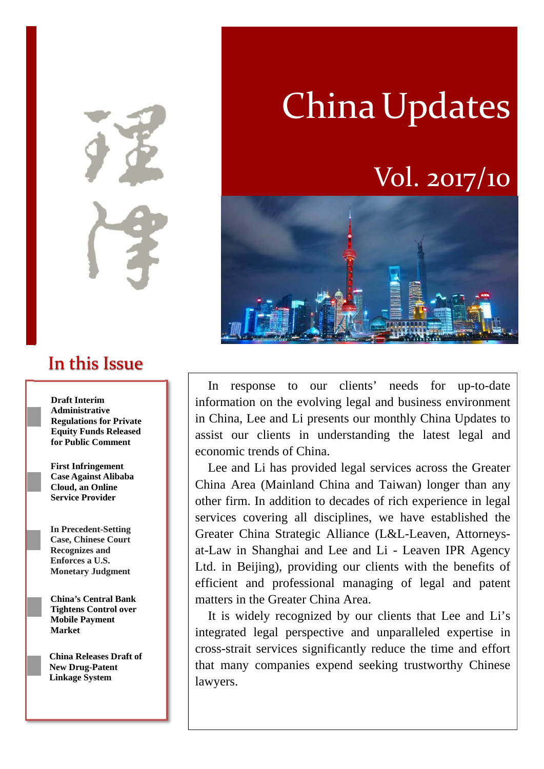In this Issue

**Draft Interim Administrative Regulations for Private Equity Funds Released for Public Comment** 

**First Infringement Case Against Alibaba Cloud, an Online Service Provider**

**In Precedent-Setting Case, Chinese Court Recognizes and Enforces a U.S. Monetary Judgment**

**China's Central Bank Tightens Control over Mobile Payment Market**

**China Releases Draft of New Drug-Patent Linkage System**

# China Updates

# Vol. 2017/10



In response to our clients' needs for up-to-date information on the evolving legal and business environment in China, Lee and Li presents our monthly China Updates to assist our clients in understanding the latest legal and economic trends of China.

Lee and Li has provided legal services across the Greater China Area (Mainland China and Taiwan) longer than any other firm. In addition to decades of rich experience in legal services covering all disciplines, we have established the Greater China Strategic Alliance (L&L-Leaven, Attorneysat-Law in Shanghai and Lee and Li - Leaven IPR Agency Ltd. in Beijing), providing our clients with the benefits of efficient and professional managing of legal and patent matters in the Greater China Area.

It is widely recognized by our clients that Lee and Li's integrated legal perspective and unparalleled expertise in cross-strait services significantly reduce the time and effort that many companies expend seeking trustworthy Chinese lawyers.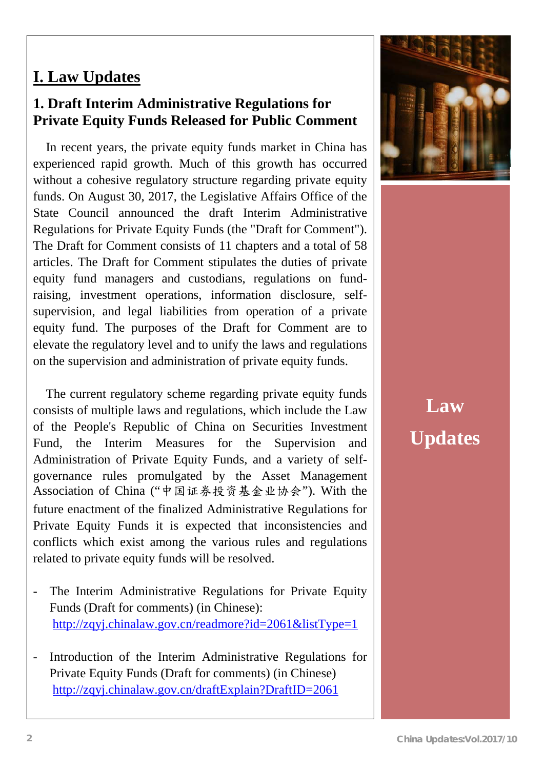#### **I. Law Updates**

#### **1. Draft Interim Administrative Regulations for Private Equity Funds Released for Public Comment**

In recent years, the private equity funds market in China has experienced rapid growth. Much of this growth has occurred without a cohesive regulatory structure regarding private equity funds. On August 30, 2017, the Legislative Affairs Office of the State Council announced the draft Interim Administrative Regulations for Private Equity Funds (the "Draft for Comment"). The Draft for Comment consists of 11 chapters and a total of 58 articles. The Draft for Comment stipulates the duties of private equity fund managers and custodians, regulations on fundraising, investment operations, information disclosure, selfsupervision, and legal liabilities from operation of a private equity fund. The purposes of the Draft for Comment are to elevate the regulatory level and to unify the laws and regulations on the supervision and administration of private equity funds.

The current regulatory scheme regarding private equity funds consists of multiple laws and regulations, which include the Law of the People's Republic of China on Securities Investment Fund, the Interim Measures for the Supervision and Administration of Private Equity Funds, and a variety of selfgovernance rules promulgated by the Asset Management Association of China ("中国证券投资基金业协会"). With the future enactment of the finalized Administrative Regulations for Private Equity Funds it is expected that inconsistencies and conflicts which exist among the various rules and regulations related to private equity funds will be resolved.

- The Interim Administrative Regulations for Private Equity Funds (Draft for comments) (in Chinese): http://zqyj.chinalaw.gov.cn/readmore?id=2061&listType=1
- Introduction of the Interim Administrative Regulations for Private Equity Funds (Draft for comments) (in Chinese) http://zqyj.chinalaw.gov.cn/draftExplain?DraftID=2061



# **Law Updates**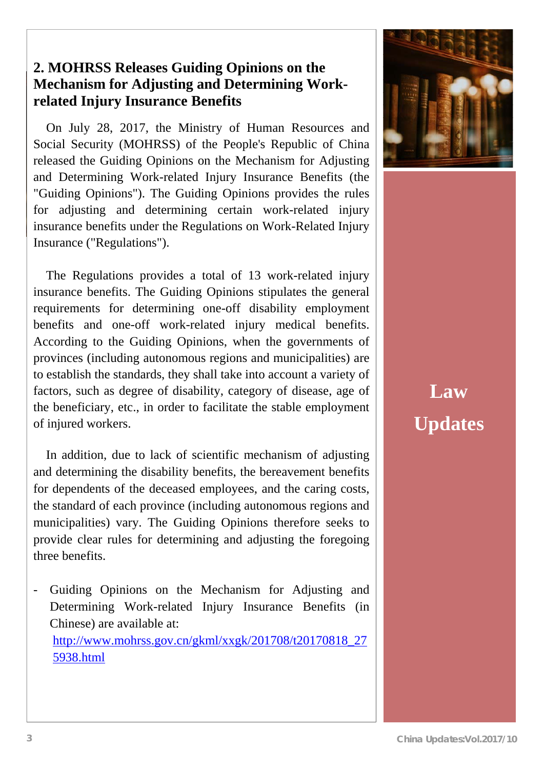#### **2. MOHRSS Releases Guiding Opinions on the Mechanism for Adjusting and Determining Workrelated Injury Insurance Benefits**

On July 28, 2017, the Ministry of Human Resources and Social Security (MOHRSS) of the People's Republic of China released the Guiding Opinions on the Mechanism for Adjusting and Determining Work-related Injury Insurance Benefits (the "Guiding Opinions"). The Guiding Opinions provides the rules for adjusting and determining certain work-related injury insurance benefits under the Regulations on Work-Related Injury Insurance ("Regulations").

The Regulations provides a total of 13 work-related injury insurance benefits. The Guiding Opinions stipulates the general requirements for determining one-off disability employment benefits and one-off work-related injury medical benefits. According to the Guiding Opinions, when the governments of provinces (including autonomous regions and municipalities) are to establish the standards, they shall take into account a variety of factors, such as degree of disability, category of disease, age of the beneficiary, etc., in order to facilitate the stable employment of injured workers.

In addition, due to lack of scientific mechanism of adjusting and determining the disability benefits, the bereavement benefits for dependents of the deceased employees, and the caring costs, the standard of each province (including autonomous regions and municipalities) vary. The Guiding Opinions therefore seeks to provide clear rules for determining and adjusting the foregoing three benefits.

- Guiding Opinions on the Mechanism for Adjusting and Determining Work-related Injury Insurance Benefits (in Chinese) are available at: http://www.mohrss.gov.cn/gkml/xxgk/201708/t20170818\_27 5938.html



# **Law Updates**

ſ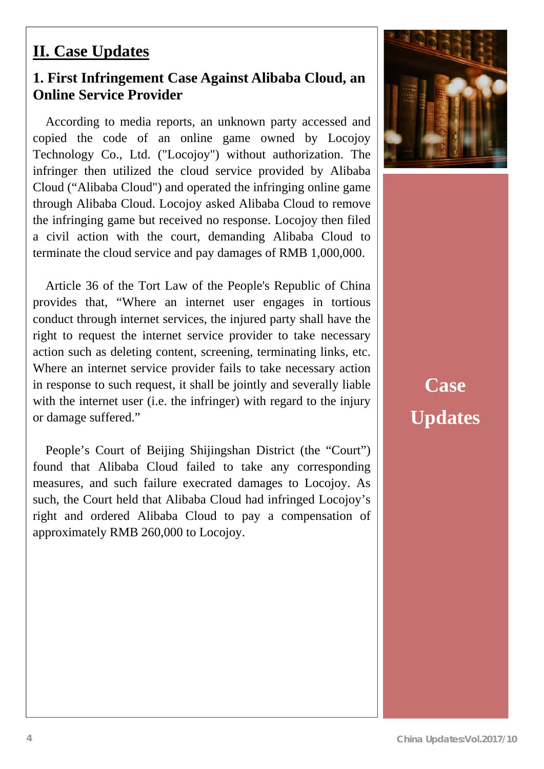# **II. Case Updates**

#### **1. First Infringement Case Against Alibaba Cloud, an Online Service Provider**

According to media reports, an unknown party accessed and copied the code of an online game owned by Locojoy Technology Co., Ltd. ("Locojoy") without authorization. The infringer then utilized the cloud service provided by Alibaba Cloud ("Alibaba Cloud") and operated the infringing online game through Alibaba Cloud. Locojoy asked Alibaba Cloud to remove the infringing game but received no response. Locojoy then filed a civil action with the court, demanding Alibaba Cloud to terminate the cloud service and pay damages of RMB 1,000,000.

Article 36 of the Tort Law of the People's Republic of China provides that, "Where an internet user engages in tortious conduct through internet services, the injured party shall have the right to request the internet service provider to take necessary action such as deleting content, screening, terminating links, etc. Where an internet service provider fails to take necessary action in response to such request, it shall be jointly and severally liable with the internet user (i.e. the infringer) with regard to the injury or damage suffered."

People's Court of Beijing Shijingshan District (the "Court") found that Alibaba Cloud failed to take any corresponding measures, and such failure execrated damages to Locojoy. As such, the Court held that Alibaba Cloud had infringed Locojoy's right and ordered Alibaba Cloud to pay a compensation of approximately RMB 260,000 to Locojoy.



# **Case Updates**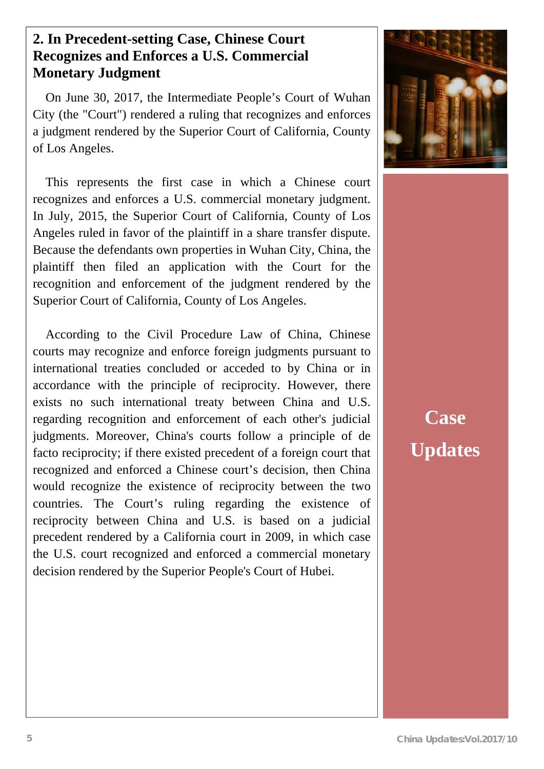### **Monetary Judgment 2. In Precedent-setting Case, Chinese Court Recognizes and Enforces a U.S. Commercial**

On June 30, 2017, the Intermediate People's Court of Wuhan City (the "Court") rendered a ruling that recognizes and enforces a judgment rendered by the Superior Court of California, County of Los Angeles.

This represents the first case in which a Chinese court recognizes and enforces a U.S. commercial monetary judgment. In July, 2015, the Superior Court of California, County of Los Angeles ruled in favor of the plaintiff in a share transfer dispute. Because the defendants own properties in Wuhan City, China, the plaintiff then filed an application with the Court for the recognition and enforcement of the judgment rendered by the Superior Court of California, County of Los Angeles.

According to the Civil Procedure Law of China, Chinese courts may recognize and enforce foreign judgments pursuant to international treaties concluded or acceded to by China or in accordance with the principle of reciprocity. However, there exists no such international treaty between China and U.S. regarding recognition and enforcement of each other's judicial judgments. Moreover, China's courts follow a principle of de facto reciprocity; if there existed precedent of a foreign court that recognized and enforced a Chinese court's decision, then China would recognize the existence of reciprocity between the two countries. The Court's ruling regarding the existence of reciprocity between China and U.S. is based on a judicial precedent rendered by a California court in 2009, in which case the U.S. court recognized and enforced a commercial monetary decision rendered by the Superior People's Court of Hubei.



**Case Updates**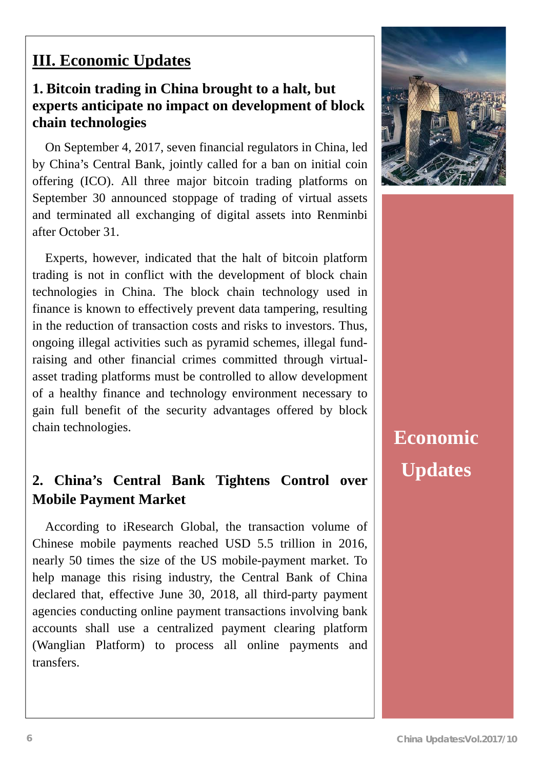## **III. Economic Updates**

#### **1. Bitcoin trading in China brought to a halt, but experts anticipate no impact on development of block chain technologies**

On September 4, 2017, seven financial regulators in China, led by China's Central Bank, jointly called for a ban on initial coin offering (ICO). All three major bitcoin trading platforms on September 30 announced stoppage of trading of virtual assets and terminated all exchanging of digital assets into Renminbi after October 31.

Experts, however, indicated that the halt of bitcoin platform trading is not in conflict with the development of block chain technologies in China. The block chain technology used in finance is known to effectively prevent data tampering, resulting in the reduction of transaction costs and risks to investors. Thus, ongoing illegal activities such as pyramid schemes, illegal fundraising and other financial crimes committed through virtualasset trading platforms must be controlled to allow development of a healthy finance and technology environment necessary to gain full benefit of the security advantages offered by block chain technologies.

### **2. China's Central Bank Tightens Control over Mobile Payment Market**

According to iResearch Global, the transaction volume of Chinese mobile payments reached USD 5.5 trillion in 2016, nearly 50 times the size of the US mobile-payment market. To help manage this rising industry, the Central Bank of China declared that, effective June 30, 2018, all third-party payment agencies conducting online payment transactions involving bank accounts shall use a centralized payment clearing platform (Wanglian Platform) to process all online payments and transfers.



**Economic Updates**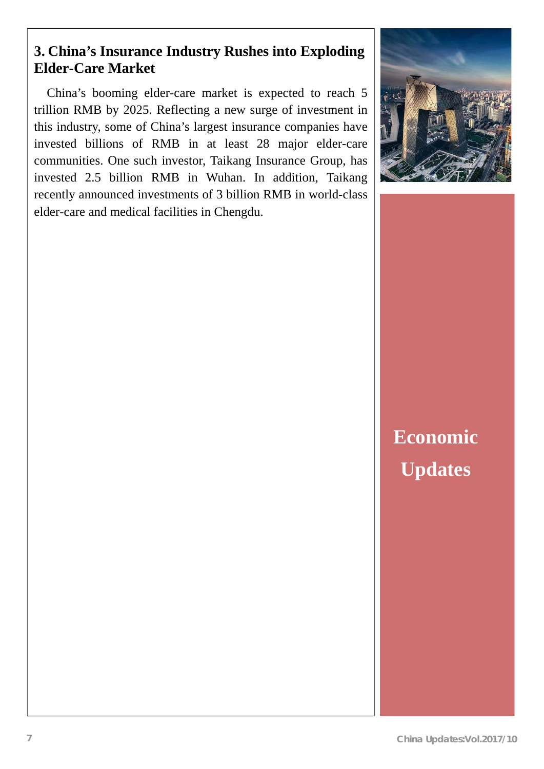### **3. China's Insurance Industry Rushes into Exploding Elder-Care Market**

China's booming elder-care market is expected to reach 5 trillion RMB by 2025. Reflecting a new surge of investment in this industry, some of China's largest insurance companies have invested billions of RMB in at least 28 major elder-care communities. One such investor, Taikang Insurance Group, has invested 2.5 billion RMB in Wuhan. In addition, Taikang recently announced investments of 3 billion RMB in world-class elder-care and medical facilities in Chengdu.



**Economic Updates**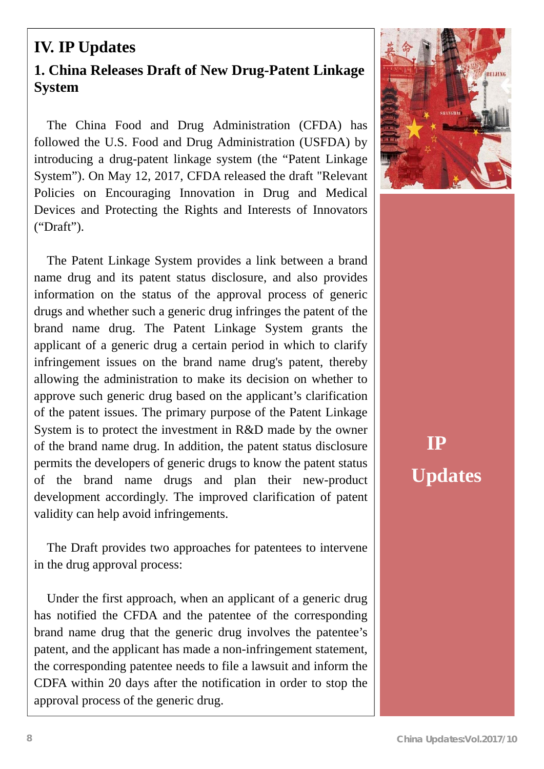### **IV. IP Updates 1. China Releases Draft of New Drug-Patent Linkage System**

The China Food and Drug Administration (CFDA) has followed the U.S. Food and Drug Administration (USFDA) by introducing a drug-patent linkage system (the "Patent Linkage System"). On May 12, 2017, CFDA released the draft "Relevant Policies on Encouraging Innovation in Drug and Medical Devices and Protecting the Rights and Interests of Innovators ("Draft").

The Patent Linkage System provides a link between a brand name drug and its patent status disclosure, and also provides information on the status of the approval process of generic drugs and whether such a generic drug infringes the patent of the brand name drug. The Patent Linkage System grants the applicant of a generic drug a certain period in which to clarify infringement issues on the brand name drug's patent, thereby allowing the administration to make its decision on whether to approve such generic drug based on the applicant's clarification of the patent issues. The primary purpose of the Patent Linkage System is to protect the investment in R&D made by the owner of the brand name drug. In addition, the patent status disclosure permits the developers of generic drugs to know the patent status of the brand name drugs and plan their new-product development accordingly. The improved clarification of patent validity can help avoid infringements.

The Draft provides two approaches for patentees to intervene in the drug approval process:

Under the first approach, when an applicant of a generic drug has notified the CFDA and the patentee of the corresponding brand name drug that the generic drug involves the patentee's patent, and the applicant has made a non-infringement statement, the corresponding patentee needs to file a lawsuit and inform the CDFA within 20 days after the notification in order to stop the approval process of the generic drug.



# **IP Updates**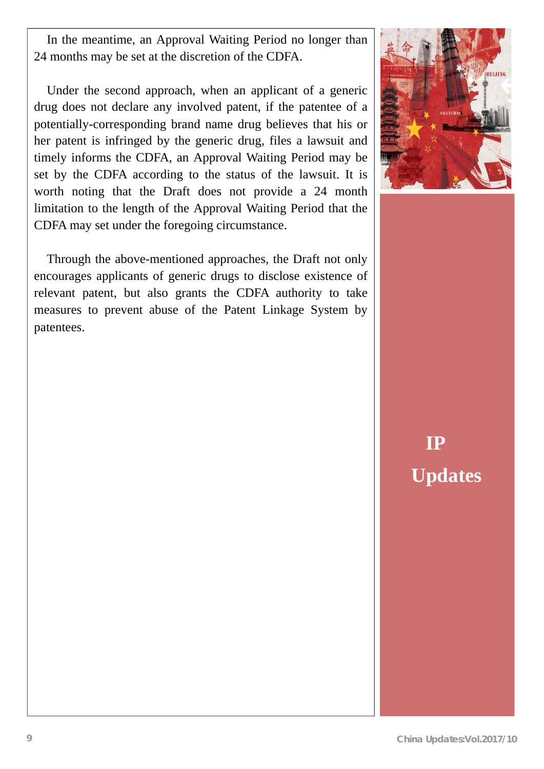In the meantime, an Approval Waiting Period no longer than 24 months may be set at the discretion of the CDFA.

Under the second approach, when an applicant of a generic drug does not declare any involved patent, if the patentee of a potentially-corresponding brand name drug believes that his or her patent is infringed by the generic drug, files a lawsuit and timely informs the CDFA, an Approval Waiting Period may be set by the CDFA according to the status of the lawsuit. It is worth noting that the Draft does not provide a 24 month limitation to the length of the Approval Waiting Period that the CDFA may set under the foregoing circumstance.

Through the above-mentioned approaches, the Draft not only encourages applicants of generic drugs to disclose existence of relevant patent, but also grants the CDFA authority to take measures to prevent abuse of the Patent Linkage System by patentees.



**IP Updates**